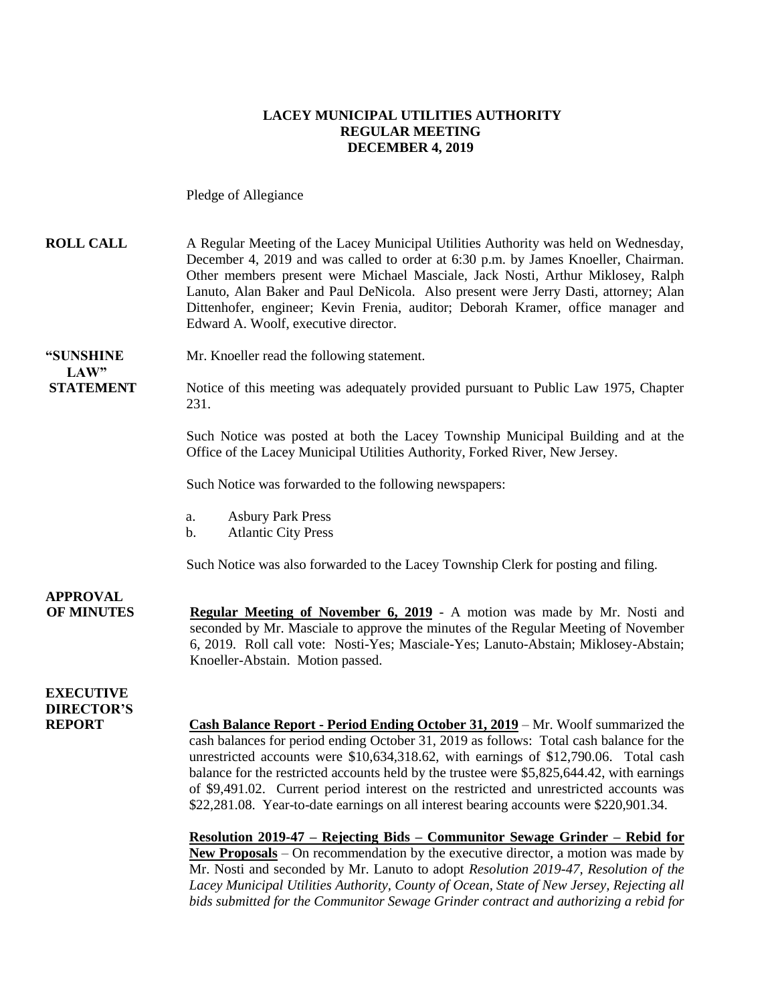#### **LACEY MUNICIPAL UTILITIES AUTHORITY REGULAR MEETING DECEMBER 4, 2019**

Pledge of Allegiance

**ROLL CALL** A Regular Meeting of the Lacey Municipal Utilities Authority was held on Wednesday, December 4, 2019 and was called to order at 6:30 p.m. by James Knoeller, Chairman. Other members present were Michael Masciale, Jack Nosti, Arthur Miklosey, Ralph Lanuto, Alan Baker and Paul DeNicola. Also present were Jerry Dasti, attorney; Alan Dittenhofer, engineer; Kevin Frenia, auditor; Deborah Kramer, office manager and Edward A. Woolf, executive director.

**"SUNSHINE** Mr. Knoeller read the following statement. **LAW"** 

**STATEMENT** Notice of this meeting was adequately provided pursuant to Public Law 1975, Chapter 231.

> Such Notice was posted at both the Lacey Township Municipal Building and at the Office of the Lacey Municipal Utilities Authority, Forked River, New Jersey.

Such Notice was forwarded to the following newspapers:

- a. Asbury Park Press
- b. Atlantic City Press

Such Notice was also forwarded to the Lacey Township Clerk for posting and filing.

**APPROVAL OF MINUTES Regular Meeting of November 6, 2019** - A motion was made by Mr. Nosti and seconded by Mr. Masciale to approve the minutes of the Regular Meeting of November 6, 2019. Roll call vote: Nosti-Yes; Masciale-Yes; Lanuto-Abstain; Miklosey-Abstain; Knoeller-Abstain. Motion passed.

#### **EXECUTIVE DIRECTOR'S**

**REPORT Cash Balance Report - Period Ending October 31, 2019** – Mr. Woolf summarized the cash balances for period ending October 31, 2019 as follows: Total cash balance for the unrestricted accounts were \$10,634,318.62, with earnings of \$12,790.06. Total cash balance for the restricted accounts held by the trustee were \$5,825,644.42, with earnings of \$9,491.02. Current period interest on the restricted and unrestricted accounts was \$22,281.08. Year-to-date earnings on all interest bearing accounts were \$220,901.34.

> **Resolution 2019-47 – Rejecting Bids – Communitor Sewage Grinder – Rebid for New Proposals** – On recommendation by the executive director, a motion was made by Mr. Nosti and seconded by Mr. Lanuto to adopt *Resolution 2019-47, Resolution of the Lacey Municipal Utilities Authority, County of Ocean, State of New Jersey, Rejecting all bids submitted for the Communitor Sewage Grinder contract and authorizing a rebid for*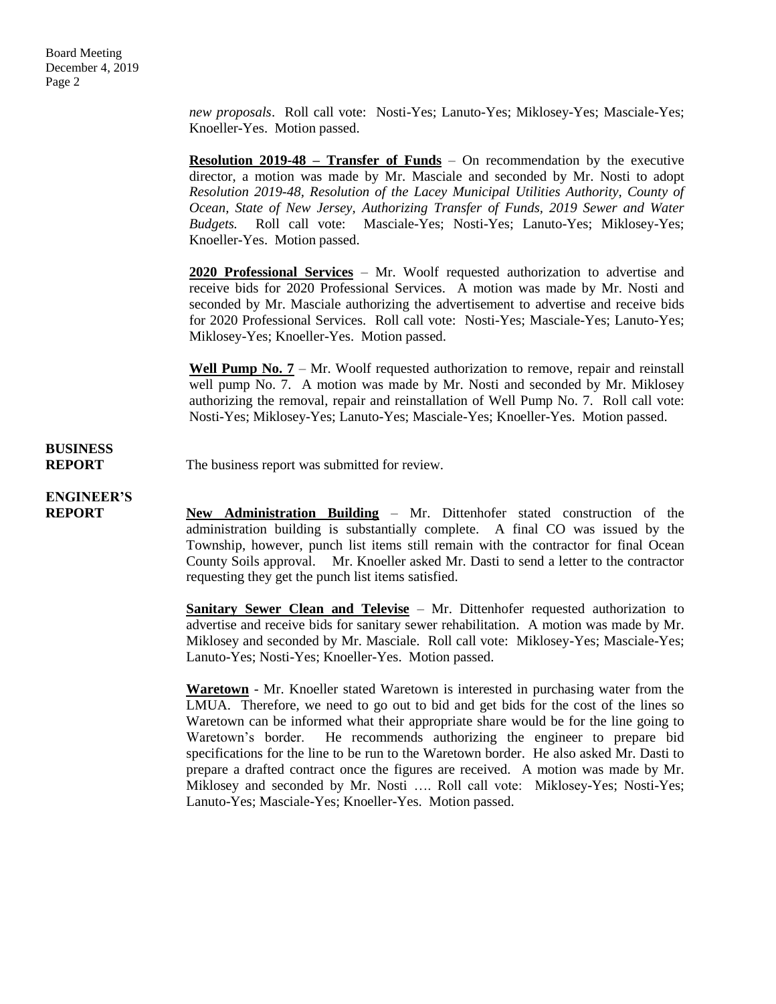*new proposals*. Roll call vote: Nosti-Yes; Lanuto-Yes; Miklosey-Yes; Masciale-Yes; Knoeller-Yes. Motion passed.

**Resolution 2019-48 – Transfer of Funds** – On recommendation by the executive director, a motion was made by Mr. Masciale and seconded by Mr. Nosti to adopt *Resolution 2019-48, Resolution of the Lacey Municipal Utilities Authority, County of Ocean, State of New Jersey, Authorizing Transfer of Funds, 2019 Sewer and Water Budgets.* Roll call vote: Masciale-Yes; Nosti-Yes; Lanuto-Yes; Miklosey-Yes; Knoeller-Yes. Motion passed.

**2020 Professional Services** – Mr. Woolf requested authorization to advertise and receive bids for 2020 Professional Services. A motion was made by Mr. Nosti and seconded by Mr. Masciale authorizing the advertisement to advertise and receive bids for 2020 Professional Services. Roll call vote: Nosti-Yes; Masciale-Yes; Lanuto-Yes; Miklosey-Yes; Knoeller-Yes. Motion passed.

Well Pump No. 7 – Mr. Woolf requested authorization to remove, repair and reinstall well pump No. 7. A motion was made by Mr. Nosti and seconded by Mr. Miklosey authorizing the removal, repair and reinstallation of Well Pump No. 7. Roll call vote: Nosti-Yes; Miklosey-Yes; Lanuto-Yes; Masciale-Yes; Knoeller-Yes. Motion passed.

## **BUSINESS**

**REPORT** The business report was submitted for review.

### **ENGINEER'S**

**REPORT New Administration Building** – Mr. Dittenhofer stated construction of the administration building is substantially complete. A final CO was issued by the Township, however, punch list items still remain with the contractor for final Ocean County Soils approval. Mr. Knoeller asked Mr. Dasti to send a letter to the contractor requesting they get the punch list items satisfied.

> **Sanitary Sewer Clean and Televise** – Mr. Dittenhofer requested authorization to advertise and receive bids for sanitary sewer rehabilitation. A motion was made by Mr. Miklosey and seconded by Mr. Masciale. Roll call vote: Miklosey-Yes; Masciale-Yes; Lanuto-Yes; Nosti-Yes; Knoeller-Yes. Motion passed.

> **Waretown** - Mr. Knoeller stated Waretown is interested in purchasing water from the LMUA. Therefore, we need to go out to bid and get bids for the cost of the lines so Waretown can be informed what their appropriate share would be for the line going to Waretown's border. He recommends authorizing the engineer to prepare bid specifications for the line to be run to the Waretown border. He also asked Mr. Dasti to prepare a drafted contract once the figures are received. A motion was made by Mr. Miklosey and seconded by Mr. Nosti …. Roll call vote: Miklosey-Yes; Nosti-Yes; Lanuto-Yes; Masciale-Yes; Knoeller-Yes. Motion passed.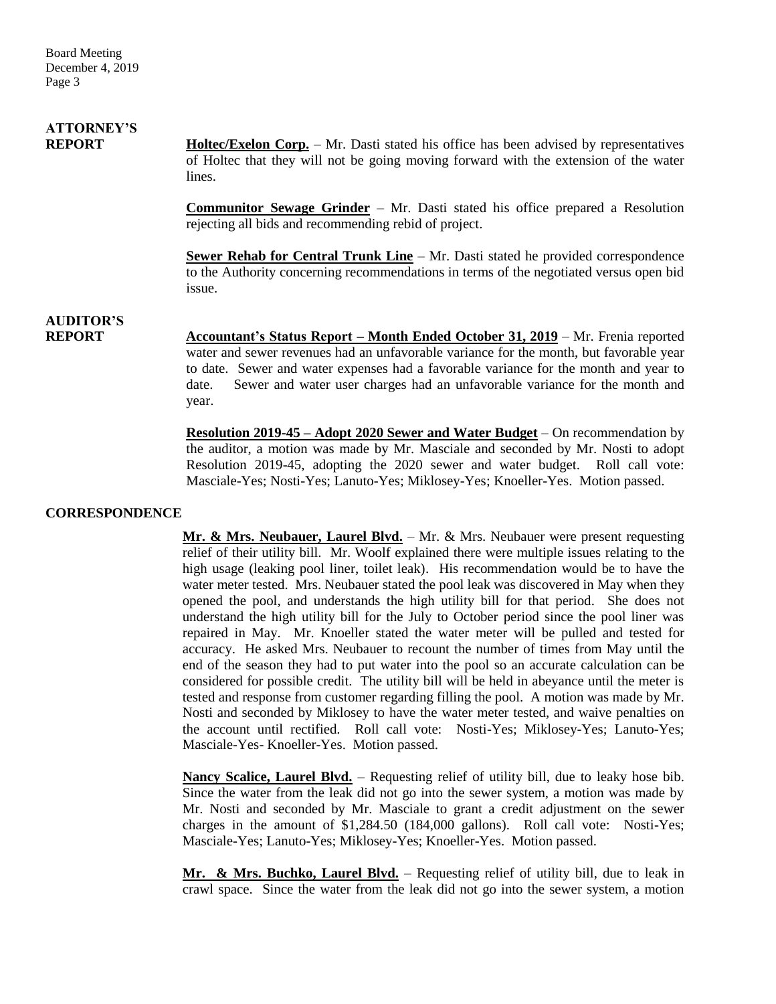# **ATTORNEY'S**

**REPORT Holtec/Exelon Corp.** – Mr. Dasti stated his office has been advised by representatives of Holtec that they will not be going moving forward with the extension of the water lines.

> **Communitor Sewage Grinder** – Mr. Dasti stated his office prepared a Resolution rejecting all bids and recommending rebid of project.

> **Sewer Rehab for Central Trunk Line** – Mr. Dasti stated he provided correspondence to the Authority concerning recommendations in terms of the negotiated versus open bid issue.

## **AUDITOR'S**

**REPORT Accountant's Status Report – Month Ended October 31, 2019** – Mr. Frenia reported water and sewer revenues had an unfavorable variance for the month, but favorable year to date. Sewer and water expenses had a favorable variance for the month and year to date. Sewer and water user charges had an unfavorable variance for the month and year.

> **Resolution 2019-45 – Adopt 2020 Sewer and Water Budget** – On recommendation by the auditor, a motion was made by Mr. Masciale and seconded by Mr. Nosti to adopt Resolution 2019-45, adopting the 2020 sewer and water budget. Roll call vote: Masciale-Yes; Nosti-Yes; Lanuto-Yes; Miklosey-Yes; Knoeller-Yes. Motion passed.

#### **CORRESPONDENCE**

Mr. & Mrs. Neubauer, Laurel Blvd. - Mr. & Mrs. Neubauer were present requesting relief of their utility bill. Mr. Woolf explained there were multiple issues relating to the high usage (leaking pool liner, toilet leak). His recommendation would be to have the water meter tested. Mrs. Neubauer stated the pool leak was discovered in May when they opened the pool, and understands the high utility bill for that period. She does not understand the high utility bill for the July to October period since the pool liner was repaired in May. Mr. Knoeller stated the water meter will be pulled and tested for accuracy. He asked Mrs. Neubauer to recount the number of times from May until the end of the season they had to put water into the pool so an accurate calculation can be considered for possible credit. The utility bill will be held in abeyance until the meter is tested and response from customer regarding filling the pool. A motion was made by Mr. Nosti and seconded by Miklosey to have the water meter tested, and waive penalties on the account until rectified. Roll call vote: Nosti-Yes; Miklosey-Yes; Lanuto-Yes; Masciale-Yes- Knoeller-Yes. Motion passed.

**Nancy Scalice, Laurel Blvd.** – Requesting relief of utility bill, due to leaky hose bib. Since the water from the leak did not go into the sewer system, a motion was made by Mr. Nosti and seconded by Mr. Masciale to grant a credit adjustment on the sewer charges in the amount of \$1,284.50 (184,000 gallons). Roll call vote: Nosti-Yes; Masciale-Yes; Lanuto-Yes; Miklosey-Yes; Knoeller-Yes. Motion passed.

**Mr. & Mrs. Buchko, Laurel Blvd.** – Requesting relief of utility bill, due to leak in crawl space. Since the water from the leak did not go into the sewer system, a motion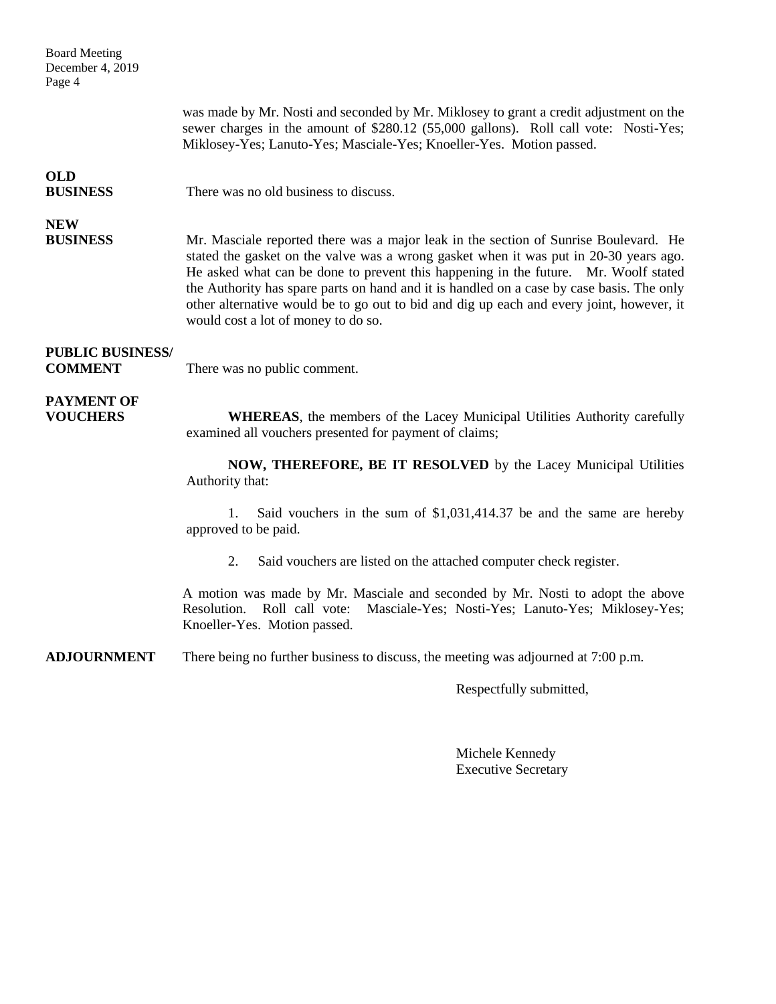| <b>Board Meeting</b><br>December 4, 2019<br>Page 4 |                                                                                                                                                                                                                                                                                                                                                                                                                                                                                                      |
|----------------------------------------------------|------------------------------------------------------------------------------------------------------------------------------------------------------------------------------------------------------------------------------------------------------------------------------------------------------------------------------------------------------------------------------------------------------------------------------------------------------------------------------------------------------|
|                                                    | was made by Mr. Nosti and seconded by Mr. Miklosey to grant a credit adjustment on the<br>sewer charges in the amount of \$280.12 (55,000 gallons). Roll call vote: Nosti-Yes;<br>Miklosey-Yes; Lanuto-Yes; Masciale-Yes; Knoeller-Yes. Motion passed.                                                                                                                                                                                                                                               |
| <b>OLD</b><br><b>BUSINESS</b>                      | There was no old business to discuss.                                                                                                                                                                                                                                                                                                                                                                                                                                                                |
| <b>NEW</b><br><b>BUSINESS</b>                      | Mr. Masciale reported there was a major leak in the section of Sunrise Boulevard. He<br>stated the gasket on the valve was a wrong gasket when it was put in 20-30 years ago.<br>He asked what can be done to prevent this happening in the future. Mr. Woolf stated<br>the Authority has spare parts on hand and it is handled on a case by case basis. The only<br>other alternative would be to go out to bid and dig up each and every joint, however, it<br>would cost a lot of money to do so. |
| <b>PUBLIC BUSINESS/</b><br><b>COMMENT</b>          | There was no public comment.                                                                                                                                                                                                                                                                                                                                                                                                                                                                         |
| <b>PAYMENT OF</b><br><b>VOUCHERS</b>               | <b>WHEREAS</b> , the members of the Lacey Municipal Utilities Authority carefully<br>examined all vouchers presented for payment of claims;                                                                                                                                                                                                                                                                                                                                                          |
|                                                    | NOW, THEREFORE, BE IT RESOLVED by the Lacey Municipal Utilities<br>Authority that:                                                                                                                                                                                                                                                                                                                                                                                                                   |
|                                                    | Said vouchers in the sum of \$1,031,414.37 be and the same are hereby<br>1.<br>approved to be paid.                                                                                                                                                                                                                                                                                                                                                                                                  |
|                                                    | 2.<br>Said vouchers are listed on the attached computer check register.                                                                                                                                                                                                                                                                                                                                                                                                                              |
|                                                    | A motion was made by Mr. Masciale and seconded by Mr. Nosti to adopt the above<br>Resolution.<br>Roll call vote:<br>Masciale-Yes; Nosti-Yes; Lanuto-Yes; Miklosey-Yes;<br>Knoeller-Yes. Motion passed.                                                                                                                                                                                                                                                                                               |

**ADJOURNMENT** There being no further business to discuss, the meeting was adjourned at 7:00 p.m.

Respectfully submitted,

Michele Kennedy Executive Secretary